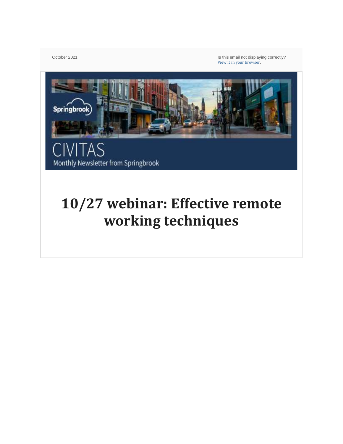October 2021 **Is this email not displaying correctly?** Is this email not displaying correctly? View it in your [browser](https://help.salesforce.com/articleView?id=pardot_view_online_link.htm).



# **10/27 webinar: Effective remote working techniques**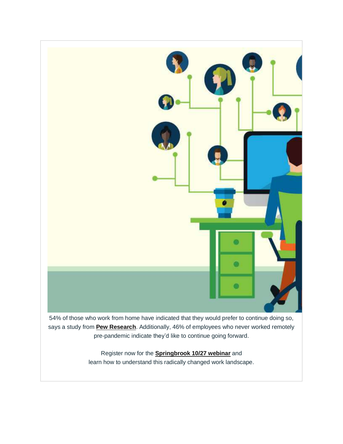

54% of those who work from home have indicated that they would prefer to continue doing so, says a study from **Pew [Research](https://www.pewresearch.org/social-trends/2020/12/09/how-the-coronavirus-outbreak-has-and-hasnt-changed-the-way-americans-work/)**. Additionally, 46% of employees who never worked remotely pre-pandemic indicate they'd like to continue going forward.

> Register now for the **[Springbrook](https://us02web.zoom.us/webinar/register/WN_SIsZ1_erR7m2RmBSURdllw?_x_zm_rtaid=nPFrMV-jS0K0b4Gi0T0cNg.1632771563707.74969c09d1158c121fe2d00e7c8f2549&_x_zm_rhtaid=330) 10/27 webinar** and learn how to understand this radically changed work landscape.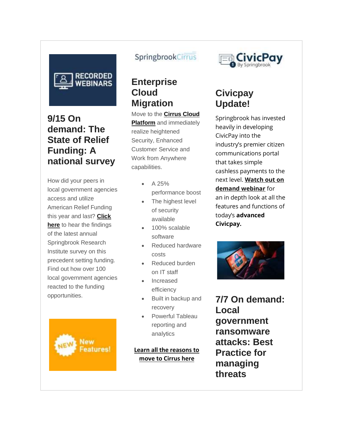

## **9/15 On demand: The State of Relief Funding: A national survey**

How did your peers in local government agencies access and utilize American Relief Funding this year and last? **[Click](https://springbrooksoftware.com/9-1-webinar-the-state-of-relief-funding-a-national-survey/) [here](https://springbrooksoftware.com/9-1-webinar-the-state-of-relief-funding-a-national-survey/)** to hear the findings of the latest annual Springbrook Research Institute survey on this precedent setting funding. Find out how over 100 local government agencies reacted to the funding opportunities.



#### SpringbrookCirrus

#### **Enterprise Cloud Migration**

Move to the **[Cirrus](https://springbrooksoftware.com/solutions/cirrus-cloud/) Cloud [Platform](https://springbrooksoftware.com/solutions/cirrus-cloud/)** and immediately realize heightened Security, Enhanced Customer Service and Work from Anywhere capabilities.

- A 25%
- performance boost
- The highest level of security available
- 100% scalable software
- Reduced hardware costs
- Reduced burden on IT staff
- Increased efficiency
- Built in backup and recovery
- Powerful Tableau reporting and analytics

#### **Learn all the [reasons](https://springbrooksoftware.com/wp-content/uploads/2020/11/Springbrook_Cloud_Digital_Conversion_11_09_2020.pdf) to move to [Cirrus](https://springbrooksoftware.com/wp-content/uploads/2020/11/Springbrook_Cloud_Digital_Conversion_11_09_2020.pdf) here**



## **Civicpay Update!**

Springbrook has invested heavily in developing CivicPay into the industry's premier citizen communications portal that takes simple cashless payments to the next level. **[Watch](https://springbrooksoftware.com/meet-the-new-advanced-civicpay-webinar/) out on demand [webinar](https://springbrooksoftware.com/meet-the-new-advanced-civicpay-webinar/)** for an in depth look at all the features and functions of today's **advanced Civicpay.**



**7/7 On demand: Local government ransomware attacks: Best Practice for managing threats**